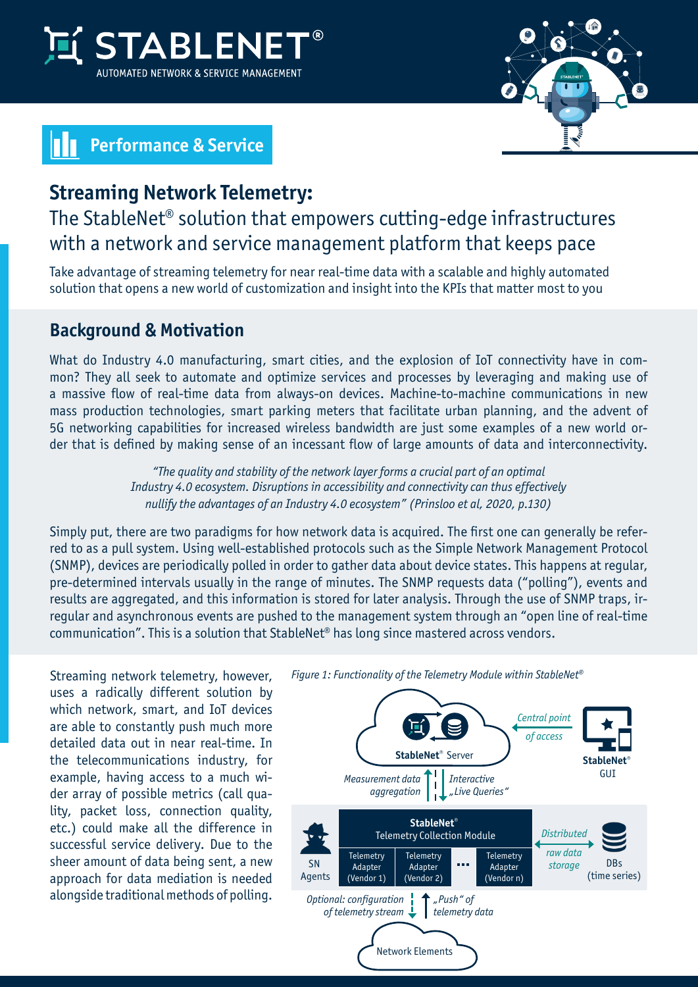



# **Performance & Service**

### **Streaming Network Telemetry:**

## The StableNet® solution that empowers cutting-edge infrastructures with a network and service management platform that keeps pace

Take advantage of streaming telemetry for near real-time data with a scalable and highly automated solution that opens a new world of customization and insight into the KPIs that matter most to you

#### **Background & Motivation**

What do Industry 4.0 manufacturing, smart cities, and the explosion of IoT connectivity have in common? They all seek to automate and optimize services and processes by leveraging and making use of a massive flow of real-time data from always-on devices. Machine-to-machine communications in new mass production technologies, smart parking meters that facilitate urban planning, and the advent of 5G networking capabilities for increased wireless bandwidth are just some examples of a new world order that is defined by making sense of an incessant flow of large amounts of data and interconnectivity.

> *"The quality and stability of the network layer forms a crucial part of an optimal Industry 4.0 ecosystem. Disruptions in accessibility and connectivity can thus effectively nullify the advantages of an Industry 4.0 ecosystem" (Prinsloo et al, 2020, p.130)*

Simply put, there are two paradigms for how network data is acquired. The first one can generally be referred to as a pull system. Using well-established protocols such as the Simple Network Management Protocol (SNMP), devices are periodically polled in order to gather data about device states. This happens at regular, pre-determined intervals usually in the range of minutes. The SNMP requests data ("polling"), events and results are aggregated, and this information is stored for later analysis. Through the use of SNMP traps, irregular and asynchronous events are pushed to the management system through an "open line of real-time communication". This is a solution that StableNet® has long since mastered across vendors.

Streaming network telemetry, however, uses a radically different solution by which network, smart, and IoT devices are able to constantly push much more detailed data out in near real-time. In the telecommunications industry, for example, having access to a much wider array of possible metrics (call quality, packet loss, connection quality, etc.) could make all the difference in successful service delivery. Due to the sheer amount of data being sent, a new approach for data mediation is needed alongside traditional methods of polling.



*Figure 1: Functionality of the Telemetry Module within StableNet®*